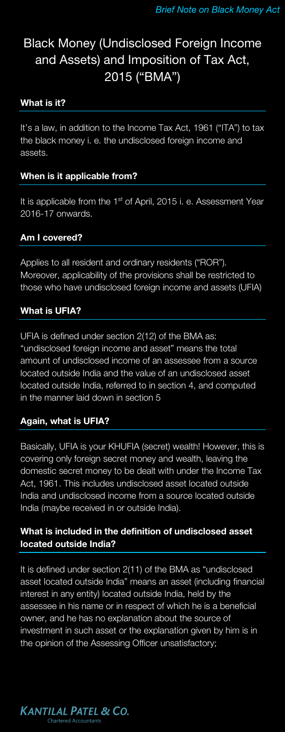# Black Money (Undisclosed Foreign Income and Assets) and Imposition of Tax Act, 2015 ("BMA")

### What is it?

It's a law, in addition to the Income Tax Act, 1961 ("ITA") to tax the black money i. e. the undisclosed foreign income and assets.

### When is it applicable from?

It is applicable from the 1<sup>st</sup> of April, 2015 i. e. Assessment Year 2016-17 onwards.

#### Am I covered?

Applies to all resident and ordinary residents ("ROR"). Moreover, applicability of the provisions shall be restricted to those who have undisclosed foreign income and assets (UFIA)

#### What is UFIA?

UFIA is defined under section 2(12) of the BMA as: "undisclosed foreign income and asset" means the total amount of undisclosed income of an assessee from a sourcelocated outside India and the value of an undisclosed asset located outside India, referred to in section 4, and computed in the manner laid down in section 5

#### Again, what is UFIA?

Basically, UFIA is your KHUFIA (secret) wealth! However, this is covering only foreign secret money and wealth, leaving the domestic secret money to be dealt with under the Income Tax Act, 1961. This includes undisclosed asset located outside India and undisclosed income from a source located outsideIndia (maybe received in or outside India).

# What is included in the definition of undisclosed assetlocated outside India?

It is defined under section 2(11) of the BMA as "undisclosed asset located outside India" means an asset (including financial interest in any entity) located outside India, held by the assessee in his name or in respect of which he is a beneficial owner, and he has no explanation about the source of investment in such asset or the explanation given by him is in the opinion of the Assessing Officer unsatisfactory;

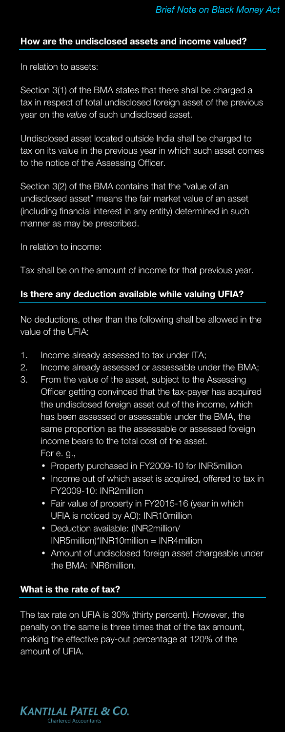### How are the undisclosed assets and income valued?

In relation to assets:

Section 3(1) of the BMA states that there shall be charged a tax in respect of total undisclosed foreign asset of the previous year on the value of such undisclosed asset.

Undisclosed asset located outside India shall be charged to tax on its value in the previous year in which such asset comes to the notice of the Assessing Officer.

Section 3(2) of the BMA contains that the "value of an undisclosed asset" means the fair market value of an asset (including financial interest in any entity) determined in such manner as may be prescribed.

In relation to income:

Tax shall be on the amount of income for that previous year.

#### Is there any deduction available while valuing UFIA?

No deductions, other than the following shall be allowed in the value of the UFIA:

- Income already assessed to tax under ITA;
- 2.Income already assessed or assessable under the BMA;
- 3. From the value of the asset, subject to the Assessing Officer getting convinced that the tax-payer has acquired the undisclosed foreign asset out of the income, which has been assessed or assessable under the BMA, the same proportion as the assessable or assessed foreign income bears to the total cost of the asset. For e. g.,
	- Property purchased in FY2009-10 for INR5million
	- Income out of which asset is acquired, offered to tax in FY2009-10: INR2million
	- Fair value of property in FY2015-16 (year in which UFIA is noticed by AO): INR10million
	- Deduction available: (INR2million/ INR5million)\*INR10million = INR4million
	- Amount of undisclosed foreign asset chargeable under the BMA: INR6million.

## What is the rate of tax?

**KANTILAL PATEL & CO. Chartered Accountants** 

The tax rate on UFIA is 30% (thirty percent). However, the penalty on the same is three times that of the tax amount, making the effective pay-out percentage at 120% of the amount of UFIA.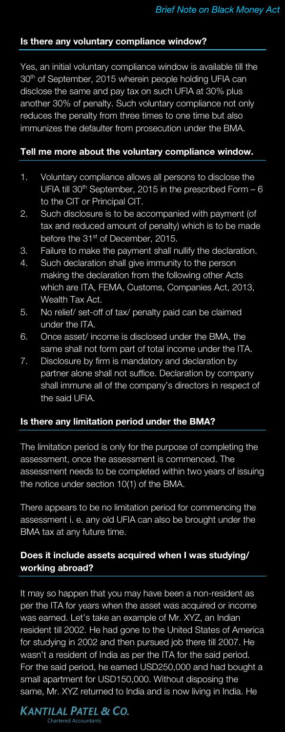#### Is there any voluntary compliance window?

Yes, an initial voluntary compliance window is available till the 30<sup>th</sup> of September, 2015 wherein people holding UFIA can disclose the same and pay tax on such UFIA at 30% plus another 30% of penalty. Such voluntary compliance not only reduces the penalty from three times to one time but also immunizes the defaulter from prosecution under the BMA.

### Tell me more about the voluntary compliance window.

- 1. Voluntary compliance allows all persons to disclose the UFIA till  $30<sup>th</sup>$  September, 2015 in the prescribed Form  $-6$ to the CIT or Principal CIT.
- 2. Such disclosure is to be accompanied with payment (of tax and reduced amount of penalty) which is to be made before the 31<sup>st</sup> of December, 2015.
- 3.Failure to make the payment shall nullify the declaration.
- 4. Such declaration shall give immunity to the person making the declaration from the following other Acts which are ITA, FEMA, Customs, Companies Act, 2013, Wealth Tax Act.
- 5. No relief/ set-off of tax/ penalty paid can be claimed under the ITA.
- 6. Once asset/ income is disclosed under the BMA, the same shall not form part of total income under the ITA.
- 7. Disclosure by firm is mandatory and declaration by partner alone shall not suffice. Declaration by company shall immune all of the company's directors in respect of the said UFIA.

#### Is there any limitation period under the BMA?

The limitation period is only for the purpose of completing the assessment, once the assessment is commenced. The assessment needs to be completed within two years of issuing the notice under section 10(1) of the BMA.

There appears to be no limitation period for commencing the assessment i. e. any old UFIA can also be brought under the BMA tax at any future time.

# Does it include assets acquired when I was studying/ working abroad?

It may so happen that you may have been a non-resident as per the ITA for years when the asset was acquired or income was earned. Let's take an example of Mr. XYZ, an Indian resident till 2002. He had gone to the United States of America for studying in 2002 and then pursued job there till 2007. He wasn't a resident of India as per the ITA for the said period. For the said period, he earned USD250,000 and had bought a small apartment for USD150,000. Without disposing the same, Mr. XYZ returned to India and is now living in India. He

#### **KANTILAL PATEL & CO. Chartered Accountants**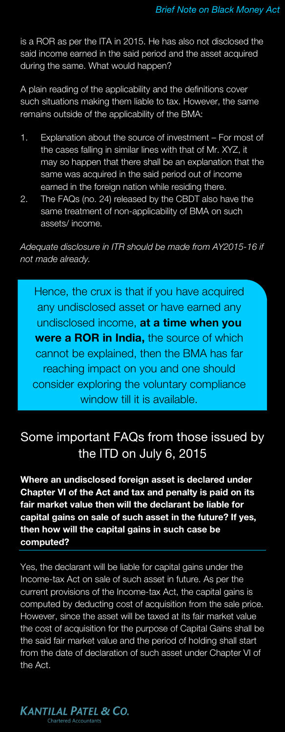is a ROR as per the ITA in 2015. He has also not disclosed the said income earned in the said period and the asset acquired during the same. What would happen?

A plain reading of the applicability and the definitions cover such situations making them liable to tax. However, the same remains outside of the applicability of the BMA:

- Explanation about the source of investment For most of the cases falling in similar lines with that of Mr. XYZ, it may so happen that there shall be an explanation that the same was acquired in the said period out of income earned in the foreign nation while residing there.
- The FAQs (no. 24) released by the CBDT also have the 2.same treatment of non-applicability of BMA on such assets/ income.

Adequate disclosure in ITR should be made from AY2015-16 if not made already.

Hence, the crux is that if you have acquired any undisclosed asset or have earned any undisclosed income, at a time when you were a ROR in India, the source of which cannot be explained, then the BMA has far reaching impact on you and one should consider exploring the voluntary compliance window till it is available.

# Some important FAQs from those issued by the ITD on July 6, 2015

Where an undisclosed foreign asset is declared under Chapter VI of the Act and tax and penalty is paid on its fair market value then will the declarant be liable for capital gains on sale of such asset in the future? If yes, then how will the capital gains in such case be computed?

Yes, the declarant will be liable for capital gains under the Income-tax Act on sale of such asset in future. As per the current provisions of the Income-tax Act, the capital gains is computed by deducting cost of acquisition from the sale price. However, since the asset will be taxed at its fair market value the cost of acquisition for the purpose of Capital Gains shall be the said fair market value and the period of holding shall start from the date of declaration of such asset under Chapter VI of the Act.